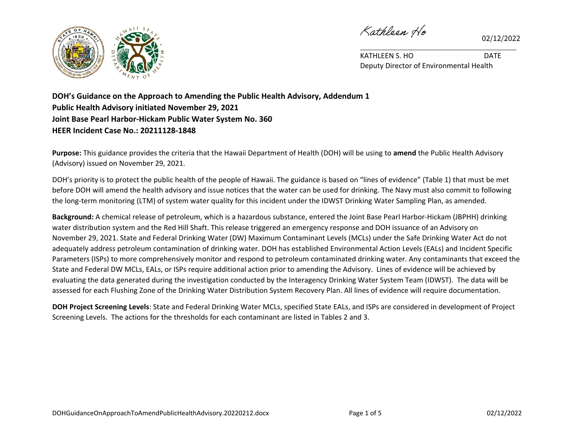

02/12/2022



KATHLEEN S. HO DATE Deputy Director of Environmental Health

**DOH's Guidance on the Approach to Amending the Public Health Advisory, Addendum 1 Public Health Advisory initiated November 29, 2021 Joint Base Pearl Harbor-Hickam Public Water System No. 360 HEER Incident Case No.: 20211128-1848**

**Purpose:** This guidance provides the criteria that the Hawaii Department of Health (DOH) will be using to **amend** the Public Health Advisory (Advisory) issued on November 29, 2021.

DOH's priority is to protect the public health of the people of Hawaii. The guidance is based on "lines of evidence" (Table 1) that must be met before DOH will amend the health advisory and issue notices that the water can be used for drinking. The Navy must also commit to following the long-term monitoring (LTM) of system water quality for this incident under the IDWST Drinking Water Sampling Plan, as amended.

**Background:** A chemical release of petroleum, which is a hazardous substance, entered the Joint Base Pearl Harbor-Hickam (JBPHH) drinking water distribution system and the Red Hill Shaft. This release triggered an emergency response and DOH issuance of an Advisory on November 29, 2021. State and Federal Drinking Water (DW) Maximum Contaminant Levels (MCLs) under the Safe Drinking Water Act do not adequately address petroleum contamination of drinking water. DOH has established Environmental Action Levels (EALs) and Incident Specific Parameters (ISPs) to more comprehensively monitor and respond to petroleum contaminated drinking water. Any contaminants that exceed the State and Federal DW MCLs, EALs, or ISPs require additional action prior to amending the Advisory. Lines of evidence will be achieved by evaluating the data generated during the investigation conducted by the Interagency Drinking Water System Team (IDWST). The data will be assessed for each Flushing Zone of the Drinking Water Distribution System Recovery Plan. All lines of evidence will require documentation.

**DOH Project Screening Levels**: State and Federal Drinking Water MCLs, specified State EALs, and ISPs are considered in development of Project Screening Levels. The actions for the thresholds for each contaminant are listed in Tables 2 and 3.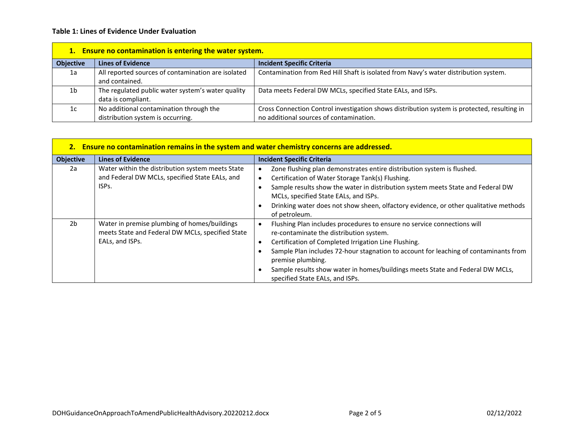## **Table 1: Lines of Evidence Under Evaluation**

| 1. Ensure no contamination is entering the water system. |                                                                              |                                                                                                                                        |  |  |
|----------------------------------------------------------|------------------------------------------------------------------------------|----------------------------------------------------------------------------------------------------------------------------------------|--|--|
| <b>Objective</b>                                         | <b>Lines of Evidence</b>                                                     | <b>Incident Specific Criteria</b>                                                                                                      |  |  |
| 1a                                                       | All reported sources of contamination are isolated<br>and contained.         | Contamination from Red Hill Shaft is isolated from Navy's water distribution system.                                                   |  |  |
| 1b                                                       | The regulated public water system's water quality<br>data is compliant.      | Data meets Federal DW MCLs, specified State EALs, and ISPs.                                                                            |  |  |
| 1c                                                       | No additional contamination through the<br>distribution system is occurring. | Cross Connection Control investigation shows distribution system is protected, resulting in<br>no additional sources of contamination. |  |  |

| 2. Ensure no contamination remains in the system and water chemistry concerns are addressed. |                                                                                                                          |                                                                                                                                                                                                                                                                                                                                                                                                                                       |  |  |
|----------------------------------------------------------------------------------------------|--------------------------------------------------------------------------------------------------------------------------|---------------------------------------------------------------------------------------------------------------------------------------------------------------------------------------------------------------------------------------------------------------------------------------------------------------------------------------------------------------------------------------------------------------------------------------|--|--|
| <b>Objective</b>                                                                             | <b>Lines of Evidence</b>                                                                                                 | <b>Incident Specific Criteria</b>                                                                                                                                                                                                                                                                                                                                                                                                     |  |  |
| 2a                                                                                           | Water within the distribution system meets State<br>and Federal DW MCLs, specified State EALs, and<br>ISP <sub>S</sub> . | Zone flushing plan demonstrates entire distribution system is flushed.<br>٠<br>Certification of Water Storage Tank(s) Flushing.<br>٠<br>Sample results show the water in distribution system meets State and Federal DW<br>MCLs, specified State EALs, and ISPs.<br>Drinking water does not show sheen, olfactory evidence, or other qualitative methods<br>of petroleum.                                                             |  |  |
| 2 <sub>b</sub>                                                                               | Water in premise plumbing of homes/buildings<br>meets State and Federal DW MCLs, specified State<br>EALs, and ISPs.      | Flushing Plan includes procedures to ensure no service connections will<br>$\bullet$<br>re-contaminate the distribution system.<br>Certification of Completed Irrigation Line Flushing.<br>$\bullet$<br>Sample Plan includes 72-hour stagnation to account for leaching of contaminants from<br>premise plumbing.<br>Sample results show water in homes/buildings meets State and Federal DW MCLs,<br>specified State EALs, and ISPs. |  |  |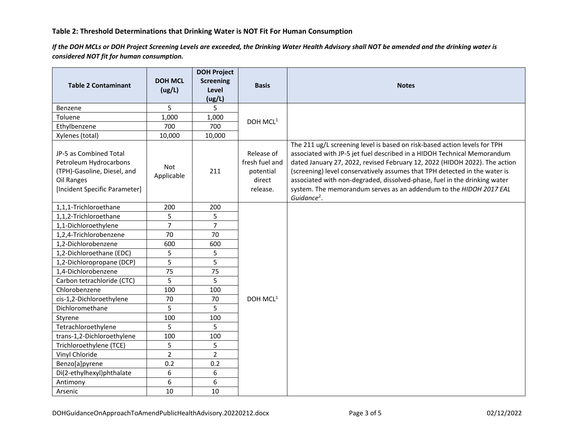## **Table 2: Threshold Determinations that Drinking Water is NOT Fit For Human Consumption**

*If the DOH MCLs or DOH Project Screening Levels are exceeded, the Drinking Water Health Advisory shall NOT be amended and the drinking water is considered NOT fit for human consumption.*

| <b>Table 2 Contaminant</b>                                                                                                     | <b>DOH MCL</b><br>(ug/L) | <b>DOH Project</b><br><b>Screening</b><br>Level | <b>Basis</b>                                                    | <b>Notes</b>                                                                                                                                                                                                                                                                                                                                                                                                                                                                                   |
|--------------------------------------------------------------------------------------------------------------------------------|--------------------------|-------------------------------------------------|-----------------------------------------------------------------|------------------------------------------------------------------------------------------------------------------------------------------------------------------------------------------------------------------------------------------------------------------------------------------------------------------------------------------------------------------------------------------------------------------------------------------------------------------------------------------------|
|                                                                                                                                |                          | (ug/L)                                          |                                                                 |                                                                                                                                                                                                                                                                                                                                                                                                                                                                                                |
| Benzene                                                                                                                        | 5                        | 5                                               |                                                                 |                                                                                                                                                                                                                                                                                                                                                                                                                                                                                                |
| Toluene                                                                                                                        | 1,000                    | 1,000                                           | DOH MCL <sup>1</sup>                                            |                                                                                                                                                                                                                                                                                                                                                                                                                                                                                                |
| Ethylbenzene                                                                                                                   | 700                      | 700                                             |                                                                 |                                                                                                                                                                                                                                                                                                                                                                                                                                                                                                |
| Xylenes (total)                                                                                                                | 10,000                   | 10,000                                          |                                                                 |                                                                                                                                                                                                                                                                                                                                                                                                                                                                                                |
| JP-5 as Combined Total<br>Petroleum Hydrocarbons<br>(TPH)-Gasoline, Diesel, and<br>Oil Ranges<br>[Incident Specific Parameter] | <b>Not</b><br>Applicable | 211                                             | Release of<br>fresh fuel and<br>potential<br>direct<br>release. | The 211 ug/L screening level is based on risk-based action levels for TPH<br>associated with JP-5 jet fuel described in a HIDOH Technical Memorandum<br>dated January 27, 2022, revised February 12, 2022 (HIDOH 2022). The action<br>(screening) level conservatively assumes that TPH detected in the water is<br>associated with non-degraded, dissolved-phase, fuel in the drinking water<br>system. The memorandum serves as an addendum to the HIDOH 2017 EAL<br>Guidance <sup>2</sup> . |
| 1,1,1-Trichloroethane                                                                                                          | 200                      | 200                                             |                                                                 |                                                                                                                                                                                                                                                                                                                                                                                                                                                                                                |
| 1,1,2-Trichloroethane                                                                                                          | 5                        | 5                                               | DOH MCL <sup>1</sup>                                            |                                                                                                                                                                                                                                                                                                                                                                                                                                                                                                |
| 1,1-Dichloroethylene                                                                                                           | $\overline{7}$           | $\overline{7}$                                  |                                                                 |                                                                                                                                                                                                                                                                                                                                                                                                                                                                                                |
| 1,2,4-Trichlorobenzene                                                                                                         | 70                       | 70                                              |                                                                 |                                                                                                                                                                                                                                                                                                                                                                                                                                                                                                |
| 1,2-Dichlorobenzene                                                                                                            | 600                      | 600                                             |                                                                 |                                                                                                                                                                                                                                                                                                                                                                                                                                                                                                |
| 1,2-Dichloroethane (EDC)                                                                                                       | 5                        | 5                                               |                                                                 |                                                                                                                                                                                                                                                                                                                                                                                                                                                                                                |
| 1,2-Dichloropropane (DCP)                                                                                                      | 5                        | 5                                               |                                                                 |                                                                                                                                                                                                                                                                                                                                                                                                                                                                                                |
| 1,4-Dichlorobenzene                                                                                                            | 75                       | 75                                              |                                                                 |                                                                                                                                                                                                                                                                                                                                                                                                                                                                                                |
| Carbon tetrachloride (CTC)                                                                                                     | 5                        | 5                                               |                                                                 |                                                                                                                                                                                                                                                                                                                                                                                                                                                                                                |
| Chlorobenzene                                                                                                                  | 100                      | 100                                             |                                                                 |                                                                                                                                                                                                                                                                                                                                                                                                                                                                                                |
| cis-1,2-Dichloroethylene                                                                                                       | 70                       | 70                                              |                                                                 |                                                                                                                                                                                                                                                                                                                                                                                                                                                                                                |
| Dichloromethane                                                                                                                | 5                        | 5                                               |                                                                 |                                                                                                                                                                                                                                                                                                                                                                                                                                                                                                |
| Styrene                                                                                                                        | 100                      | 100                                             |                                                                 |                                                                                                                                                                                                                                                                                                                                                                                                                                                                                                |
| Tetrachloroethylene                                                                                                            | 5                        | 5                                               |                                                                 |                                                                                                                                                                                                                                                                                                                                                                                                                                                                                                |
| trans-1,2-Dichloroethylene                                                                                                     | 100                      | 100                                             |                                                                 |                                                                                                                                                                                                                                                                                                                                                                                                                                                                                                |
| Trichloroethylene (TCE)                                                                                                        | 5                        | 5                                               |                                                                 |                                                                                                                                                                                                                                                                                                                                                                                                                                                                                                |
| Vinyl Chloride                                                                                                                 | $\overline{2}$           | $\overline{2}$                                  |                                                                 |                                                                                                                                                                                                                                                                                                                                                                                                                                                                                                |
| Benzo[a]pyrene                                                                                                                 | 0.2                      | 0.2                                             |                                                                 |                                                                                                                                                                                                                                                                                                                                                                                                                                                                                                |
| Di(2-ethylhexyl)phthalate                                                                                                      | 6                        | 6                                               |                                                                 |                                                                                                                                                                                                                                                                                                                                                                                                                                                                                                |
| Antimony                                                                                                                       | 6                        | 6                                               |                                                                 |                                                                                                                                                                                                                                                                                                                                                                                                                                                                                                |
| Arsenic                                                                                                                        | 10                       | 10                                              |                                                                 |                                                                                                                                                                                                                                                                                                                                                                                                                                                                                                |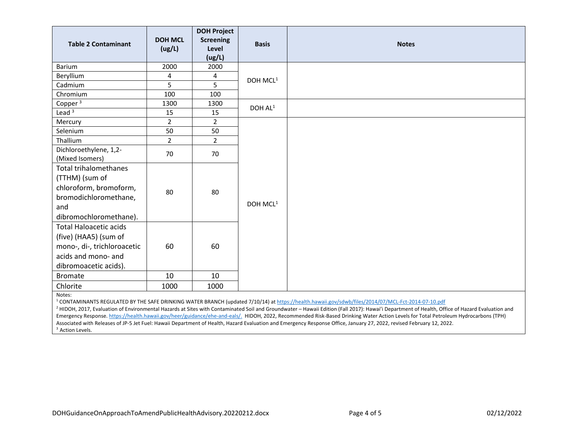| <b>Table 2 Contaminant</b>                                                                                                                              | <b>DOH MCL</b><br>(ug/L) | <b>DOH Project</b><br><b>Screening</b><br>Level<br>(ug/L) | <b>Basis</b>         | <b>Notes</b> |
|---------------------------------------------------------------------------------------------------------------------------------------------------------|--------------------------|-----------------------------------------------------------|----------------------|--------------|
| Barium                                                                                                                                                  | 2000                     | 2000                                                      |                      |              |
| Beryllium                                                                                                                                               | 4                        | 4                                                         | DOH MCL <sup>1</sup> |              |
| Cadmium                                                                                                                                                 | 5                        | 5                                                         |                      |              |
| Chromium                                                                                                                                                | 100                      | 100                                                       |                      |              |
| Copper <sup>3</sup>                                                                                                                                     | 1300                     | 1300                                                      | DOH AL <sup>1</sup>  |              |
| Lead $3$                                                                                                                                                | 15                       | 15                                                        |                      |              |
| Mercury                                                                                                                                                 | $\overline{2}$           | $\overline{2}$                                            |                      |              |
| Selenium                                                                                                                                                | 50                       | 50                                                        |                      |              |
| Thallium                                                                                                                                                | $\overline{2}$           | $\overline{2}$                                            | DOH MCL <sup>1</sup> |              |
| Dichloroethylene, 1,2-<br>(Mixed Isomers)                                                                                                               | 70                       | 70                                                        |                      |              |
| <b>Total trihalomethanes</b><br>(TTHM) (sum of<br>chloroform, bromoform,<br>bromodichloromethane,<br>and<br>dibromochloromethane).                      | 80                       | 80                                                        |                      |              |
| <b>Total Haloacetic acids</b><br>(five) (HAA5) (sum of<br>mono-, di-, trichloroacetic<br>acids and mono- and<br>dibromoacetic acids).<br><b>Bromate</b> | 60<br>10                 | 60<br>10                                                  |                      |              |
| Chlorite                                                                                                                                                | 1000                     | 1000                                                      |                      |              |
| Notes:                                                                                                                                                  |                          |                                                           |                      |              |

<sup>1</sup> CONTAMINANTS REGULATED BY THE SAFE DRINKING WATER BRANCH (updated 7/10/14) a[t https://health.hawaii.gov/sdwb/files/2014/07/MCL-Fct-2014-07-10.pdf](https://health.hawaii.gov/sdwb/files/2014/07/MCL-Fct-2014-07-10.pdf)

<sup>2</sup> HIDOH, 2017, Evaluation of Environmental Hazards at Sites with Contaminated Soil and Groundwater - Hawaii Edition (Fall 2017): Hawai'i Department of Health, Office of Hazard Evaluation and Emergency Response[. https://health.hawaii.gov/heer/guidance/ehe-and-eals/.](https://health.hawaii.gov/heer/guidance/ehe-and-eals/) HIDOH, 2022, Recommended Risk-Based Drinking Water Action Levels for Total Petroleum Hydrocarbons (TPH) Associated with Releases of JP-5 Jet Fuel: Hawaii Department of Health, Hazard Evaluation and Emergency Response Office, January 27, 2022, revised February 12, 2022. <sup>3</sup> Action Levels.